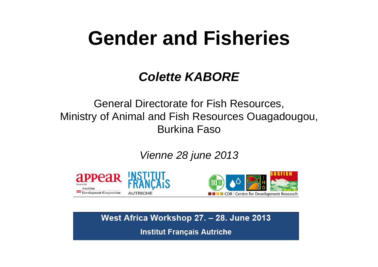# **Gender and Fisheries**

### *Colette KABORE*

General Directorate for Fish Resources, Ministry of Animal and Fish Resources Ouagadougou, Burkina Faso

*Vienne 28 june 2013*



West Africa Workshop 27. - 28. June 2013

**Institut Français Autriche**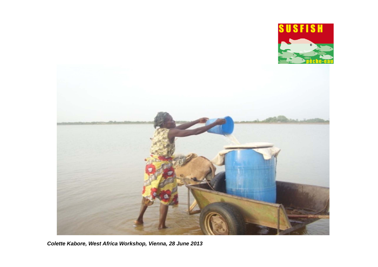

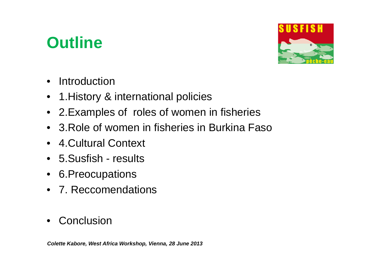## **Outline**



- $\bullet$ Introduction
- 1.History & international policies
- 2.Examples of roles of women in fisheries
- 3.Role of women in fisheries in Burkina Faso
- 4.Cultural Context
- 5.Susfish results
- 6.Preocupations
- 7. Reccomendations
- $\bullet$ **Conclusion**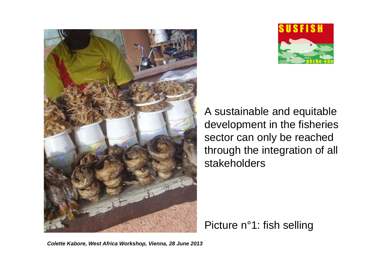



A sustainable and equitable development in the fisheries sector can only be reached through the integration of all stakeholders

Picture n°1: fish selling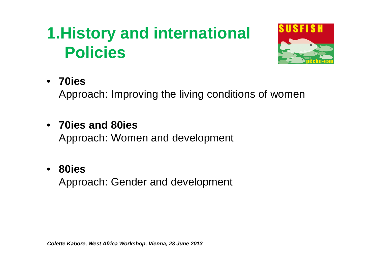# **1.History and international Policies**



• **70ies** 

Approach: Improving the living conditions of women

• **70ies and 80ies**  Approach: Women and development

### • **80ies**

Approach: Gender and development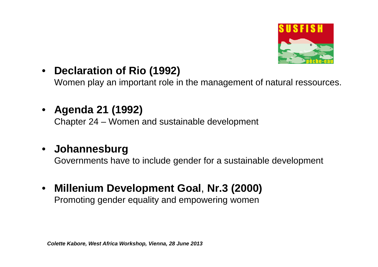

#### $\bullet$ **Declaration of Rio (1992)**

Women play an important role in the management of natural ressources.

 $\bullet$ **Agenda 21 (1992)** 

Chapter 24 – Women and sustainable development

#### $\bullet$ **Johannesburg**

Governments have to include gender for a sustainable development

 $\bullet$  **Millenium Development Goal**, **Nr.3 (2000)** Promoting gender equality and empowering women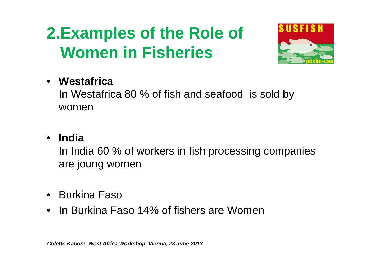# **2.Examples of the Role of Women in Fisheries**



### • **Westafrica**

In Westafrica 80 % of fish and seafood is sold by women

### • **India**

In India 60 % of workers in fish processing companies are joung women

- Burkina Faso
- In Burkina Faso 14% of fishers are Women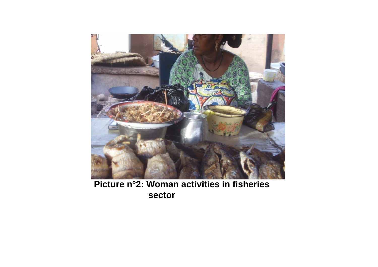

**Picture n°2: Woman activities in fisheries sector**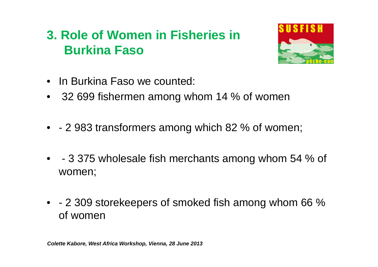### **3. Role of Women in Fisheries in Burkina Faso**



- In Burkina Faso we counted:
- 32 699 fishermen among whom 14 % of women
- - 2 983 transformers among which 82 % of women;
- - 3 375 wholesale fish merchants among whom 54 % of women;
- - 2 309 storekeepers of smoked fish among whom 66 % of women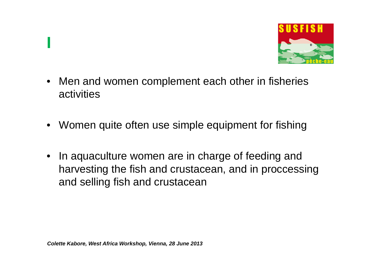

- Men and women complement each other in fisheries activities
- Women quite often use simple equipment for fishing
- $\bullet$  In aquaculture women are in charge of feeding and harvesting the fish and crustacean, and in proccessing and selling fish and crustacean

**I**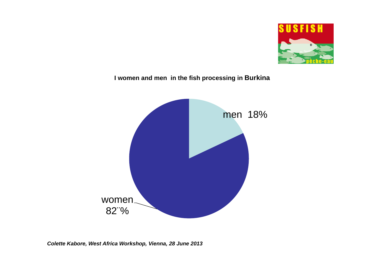

#### **I women and men in the fish processing in Burkina**

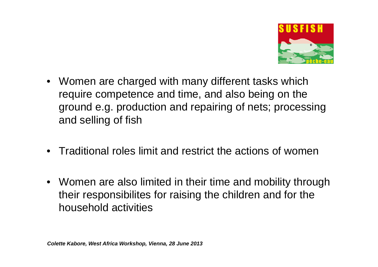

- Women are charged with many different tasks which require competence and time, and also being on the ground e.g. production and repairing of nets; processing and selling of fish
- Traditional roles limit and restrict the actions of women
- Women are also limited in their time and mobility through their responsibilites for raising the children and for the household activities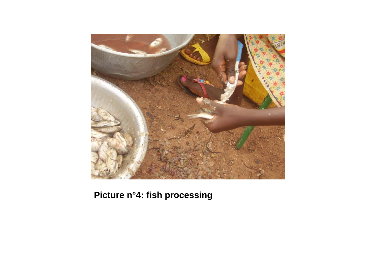

**Picture n°4: fish processing**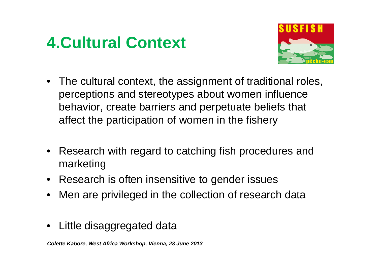## **4.Cultural Context**



- The cultural context, the assignment of traditional roles, perceptions and stereotypes about women influence behavior, create barriers and perpetuate beliefs that affect the participation of women in the fishery
- Research with regard to catching fish procedures and marketing
- Research is often insensitive to gender issues
- Men are privileged in the collection of research data
- $\bullet$ Little disaggregated data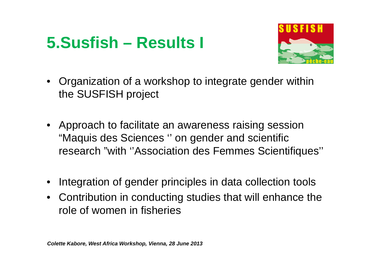## **5.Susfish – Results I**



- • Organization of a workshop to integrate gender within the SUSFISH project
- Approach to facilitate an awareness raising session "Maquis des Sciences '' on gender and scientific research "with ''Association des Femmes Scientifiques''
- •Integration of gender principles in data collection tools
- Contribution in conducting studies that will enhance the role of women in fisheries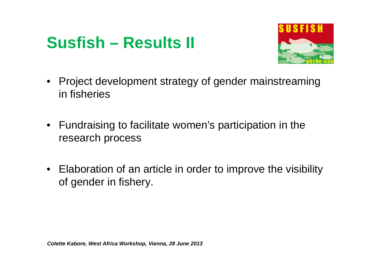## **Susfish – Results II**



- Project development strategy of gender mainstreaming in fisheries
- Fundraising to facilitate women's participation in the research process
- Elaboration of an article in order to improve the visibility of gender in fishery.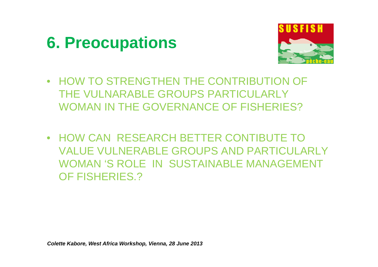### **6. Preocupations**



- HOW TO STRENGTHEN THE CONTRIBUTION OF THE VULNARABLE GROUPS PARTICULARLY WOMAN IN THE GOVERNANCE OF FISHERIES?
- HOW CAN RESEARCH BETTER CONTIBUTE TO VALUE VULNERABLE GROUPS AND PARTICULARLY WOMAN 'S ROLE IN SUSTAINABLE MANAGEMENT OF FISHERIES.?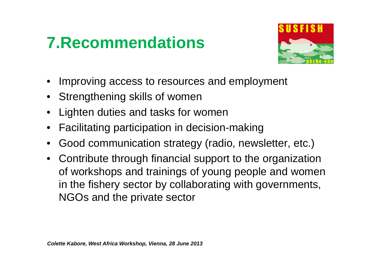# **7.Recommendations**



- •Improving access to resources and employment
- Strengthening skills of women
- Lighten duties and tasks for women
- •Facilitating participation in decision-making
- •Good communication strategy (radio, newsletter, etc.)
- Contribute through financial support to the organization of workshops and trainings of young people and women in the fishery sector by collaborating with governments, NGOs and the private sector